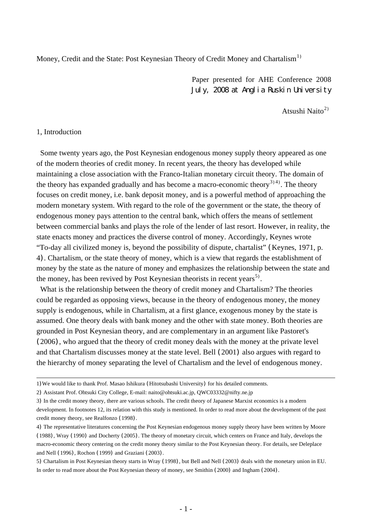Money, Credit and the State: Post Keynesian Theory of Credit Money and Chartalism<sup>[1](#page-0-0))</sup>

Paper presented for AHE Conference 2008 July, 2008 at Anglia Ruskin University

Atsushi Naito $^{2)}$  $^{2)}$  $^{2)}$ 

### 1, Introduction

 Some twenty years ago, the Post Keynesian endogenous money supply theory appeared as one of the modern theories of credit money. In recent years, the theory has developed while maintaining a close association with the Franco-Italian monetary circuit theory. The domain of the theory has expanded gradually and has become a macro-economic theory<sup>[3](#page-0-2)1[4](#page-0-3)</sup>. The theory focuses on credit money, i.e. bank deposit money, and is a powerful method of approaching the modern monetary system. With regard to the role of the government or the state, the theory of endogenous money pays attention to the central bank, which offers the means of settlement between commercial banks and plays the role of the lender of last resort. However, in reality, the state enacts money and practices the diverse control of money. Accordingly, Keynes wrote "To-day all civilized money is, beyond the possibility of dispute, chartalist" (Keynes, 1971, p. 4). Chartalism, or the state theory of money, which is a view that regards the establishment of money by the state as the nature of money and emphasizes the relationship between the state and the money, has been revived by Post Keynesian theorists in recent years<sup>[5](#page-0-4))</sup>.

 What is the relationship between the theory of credit money and Chartalism? The theories could be regarded as opposing views, because in the theory of endogenous money, the money supply is endogenous, while in Chartalism, at a first glance, exogenous money by the state is assumed. One theory deals with bank money and the other with state money. Both theories are grounded in Post Keynesian theory, and are complementary in an argument like Pastoret's (2006), who argued that the theory of credit money deals with the money at the private level and that Chartalism discusses money at the state level. Bell (2001) also argues with regard to the hierarchy of money separating the level of Chartalism and the level of endogenous money.

<span id="page-0-0"></span><sup>1</sup>)We would like to thank Prof. Masao Ishikura (Hitotsubashi University) for his detailed comments.

<span id="page-0-1"></span><sup>2</sup>) Assistant Prof. Ohtsuki City College, E-mail: naito@ohtsuki.ac.jp, QWC03332@nifty.ne.jp

<span id="page-0-2"></span><sup>3</sup>) In the credit money theory, there are various schools. The credit theory of Japanese Marxist economics is a modern development. In footnotes 12, its relation with this study is mentioned. In order to read more about the development of the past credit money theory, see Realfonzo (1998).

<span id="page-0-3"></span><sup>4</sup>) The representative literatures concerning the Post Keynesian endogenous money supply theory have been written by Moore (1988), Wray (1990) and Docherty (2005). The theory of monetary circuit, which centers on France and Italy, develops the macro-economic theory centering on the credit money theory similar to the Post Keynesian theory. For details, see Deleplace and Nell (1996), Rochon (1999) and Graziani (2003).

<span id="page-0-4"></span><sup>5</sup>) Chartalism in Post Keynesian theory starts in Wray (1998), but Bell and Nell (2003) deals with the monetary union in EU. In order to read more about the Post Keynesian theory of money, see Smithin (2000) and Ingham (2004).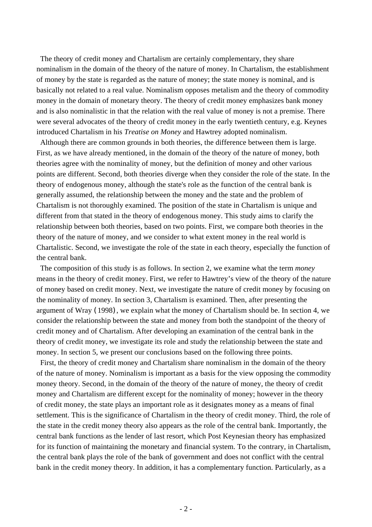The theory of credit money and Chartalism are certainly complementary, they share nominalism in the domain of the theory of the nature of money. In Chartalism, the establishment of money by the state is regarded as the nature of money; the state money is nominal, and is basically not related to a real value. Nominalism opposes metalism and the theory of commodity money in the domain of monetary theory. The theory of credit money emphasizes bank money and is also nominalistic in that the relation with the real value of money is not a premise. There were several advocates of the theory of credit money in the early twentieth century, e.g. Keynes introduced Chartalism in his *Treatise on Money* and Hawtrey adopted nominalism.

 Although there are common grounds in both theories, the difference between them is large. First, as we have already mentioned, in the domain of the theory of the nature of money, both theories agree with the nominality of money, but the definition of money and other various points are different. Second, both theories diverge when they consider the role of the state. In the theory of endogenous money, although the state's role as the function of the central bank is generally assumed, the relationship between the money and the state and the problem of Chartalism is not thoroughly examined. The position of the state in Chartalism is unique and different from that stated in the theory of endogenous money. This study aims to clarify the relationship between both theories, based on two points. First, we compare both theories in the theory of the nature of money, and we consider to what extent money in the real world is Chartalistic. Second, we investigate the role of the state in each theory, especially the function of the central bank.

 The composition of this study is as follows. In section 2, we examine what the term *money* means in the theory of credit money. First, we refer to Hawtrey's view of the theory of the nature of money based on credit money. Next, we investigate the nature of credit money by focusing on the nominality of money. In section 3, Chartalism is examined. Then, after presenting the argument of Wray (1998), we explain what the money of Chartalism should be. In section 4, we consider the relationship between the state and money from both the standpoint of the theory of credit money and of Chartalism. After developing an examination of the central bank in the theory of credit money, we investigate its role and study the relationship between the state and money. In section 5, we present our conclusions based on the following three points.

 First, the theory of credit money and Chartalism share nominalism in the domain of the theory of the nature of money. Nominalism is important as a basis for the view opposing the commodity money theory. Second, in the domain of the theory of the nature of money, the theory of credit money and Chartalism are different except for the nominality of money; however in the theory of credit money, the state plays an important role as it designates money as a means of final settlement. This is the significance of Chartalism in the theory of credit money. Third, the role of the state in the credit money theory also appears as the role of the central bank. Importantly, the central bank functions as the lender of last resort, which Post Keynesian theory has emphasized for its function of maintaining the monetary and financial system. To the contrary, in Chartalism, the central bank plays the role of the bank of government and does not conflict with the central bank in the credit money theory. In addition, it has a complementary function. Particularly, as a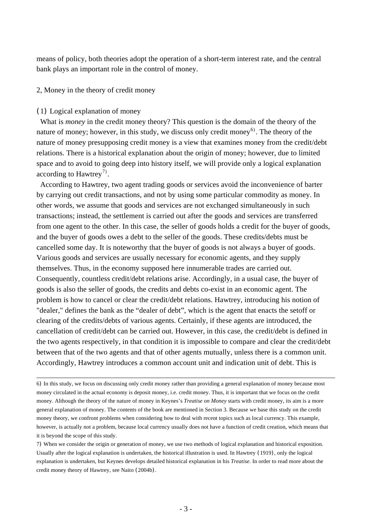means of policy, both theories adopt the operation of a short-term interest rate, and the central bank plays an important role in the control of money.

## 2, Money in the theory of credit money

### (1) Logical explanation of money

 What is *money* in the credit money theory? This question is the domain of the theory of the nature of money; however, in this study, we discuss only credit money<sup>[6](#page-2-0))</sup>. The theory of the nature of money presupposing credit money is a view that examines money from the credit/debt relations. There is a historical explanation about the origin of money; however, due to limited space and to avoid to going deep into history itself, we will provide only a logical explanation according to Hawtrey<sup>[7](#page-2-1))</sup>.

 According to Hawtrey, two agent trading goods or services avoid the inconvenience of barter by carrying out credit transactions, and not by using some particular commodity as money. In other words, we assume that goods and services are not exchanged simultaneously in such transactions; instead, the settlement is carried out after the goods and services are transferred from one agent to the other. In this case, the seller of goods holds a credit for the buyer of goods, and the buyer of goods owes a debt to the seller of the goods. These credits/debts must be cancelled some day. It is noteworthy that the buyer of goods is not always a buyer of goods. Various goods and services are usually necessary for economic agents, and they supply themselves. Thus, in the economy supposed here innumerable trades are carried out. Consequently, countless credit/debt relations arise. Accordingly, in a usual case, the buyer of goods is also the seller of goods, the credits and debts co-exist in an economic agent. The problem is how to cancel or clear the credit/debt relations. Hawtrey, introducing his notion of "dealer," defines the bank as the "dealer of debt", which is the agent that enacts the setoff or clearing of the credits/debts of various agents. Certainly, if these agents are introduced, the cancellation of credit/debt can be carried out. However, in this case, the credit/debt is defined in the two agents respectively, in that condition it is impossible to compare and clear the credit/debt between that of the two agents and that of other agents mutually, unless there is a common unit. Accordingly, Hawtrey introduces a common account unit and indication unit of debt. This is

<span id="page-2-0"></span><sup>6</sup>) In this study, we focus on discussing only credit money rather than providing a general explanation of money because most money circulated in the actual economy is deposit money, i.e. credit money. Thus, it is important that we focus on the credit money. Although the theory of the nature of money in Keynes's *Treatise on Money* starts with credit money, its aim is a more general explanation of money. The contents of the book are mentioned in Section 3. Because we base this study on the credit money theory, we confront problems when considering how to deal with recent topics such as local currency. This example, however, is actually not a problem, because local currency usually does not have a function of credit creation, which means that it is beyond the scope of this study.

<span id="page-2-1"></span><sup>7</sup>) When we consider the origin or generation of money, we use two methods of logical explanation and historical exposition. Usually after the logical explanation is undertaken, the historical illustration is used. In Hawtrey (1919), only the logical explanation is undertaken, but Keynes develops detailed historical explanation in his *Treatise.* In order to read more about the credit money theory of Hawtrey, see Naito (2004b).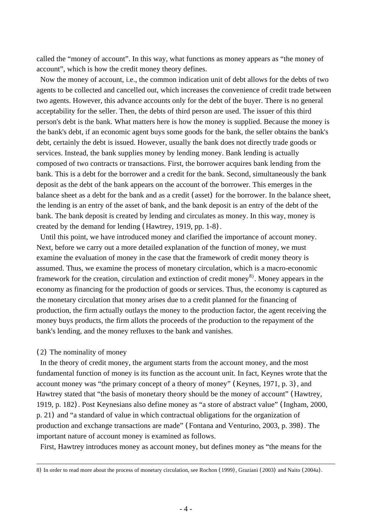called the "money of account". In this way, what functions as money appears as "the money of account", which is how the credit money theory defines.

 Now the money of account, i.e., the common indication unit of debt allows for the debts of two agents to be collected and cancelled out, which increases the convenience of credit trade between two agents. However, this advance accounts only for the debt of the buyer. There is no general acceptability for the seller. Then, the debts of third person are used. The issuer of this third person's debt is the bank. What matters here is how the money is supplied. Because the money is the bank's debt, if an economic agent buys some goods for the bank, the seller obtains the bank's debt, certainly the debt is issued. However, usually the bank does not directly trade goods or services. Instead, the bank supplies money by lending money. Bank lending is actually composed of two contracts or transactions. First, the borrower acquires bank lending from the bank. This is a debt for the borrower and a credit for the bank. Second, simultaneously the bank deposit as the debt of the bank appears on the account of the borrower. This emerges in the balance sheet as a debt for the bank and as a credit (asset) for the borrower. In the balance sheet, the lending is an entry of the asset of bank, and the bank deposit is an entry of the debt of the bank. The bank deposit is created by lending and circulates as money. In this way, money is created by the demand for lending (Hawtrey, 1919, pp. 1-8).

 Until this point, we have introduced money and clarified the importance of account money. Next, before we carry out a more detailed explanation of the function of money, we must examine the evaluation of money in the case that the framework of credit money theory is assumed. Thus, we examine the process of monetary circulation, which is a macro-economic framework for the creation, circulation and extinction of credit money<sup>[8](#page-3-0))</sup>. Money appears in the economy as financing for the production of goods or services. Thus, the economy is captured as the monetary circulation that money arises due to a credit planned for the financing of production, the firm actually outlays the money to the production factor, the agent receiving the money buys products, the firm allots the proceeds of the production to the repayment of the bank's lending, and the money refluxes to the bank and vanishes.

# (2) The nominality of money

 In the theory of credit money, the argument starts from the account money, and the most fundamental function of money is its function as the account unit. In fact, Keynes wrote that the account money was "the primary concept of a theory of money" (Keynes, 1971, p. 3), and Hawtrey stated that "the basis of monetary theory should be the money of account" (Hawtrey, 1919, p. 182). Post Keynesians also define money as "a store of abstract value" (Ingham, 2000, p. 21) and "a standard of value in which contractual obligations for the organization of production and exchange transactions are made" (Fontana and Venturino, 2003, p. 398). The important nature of account money is examined as follows.

First, Hawtrey introduces money as account money, but defines money as "the means for the

<span id="page-3-0"></span><sup>8</sup>) In order to read more about the process of monetary circulation, see Rochon (1999), Graziani (2003) and Naito (2004a).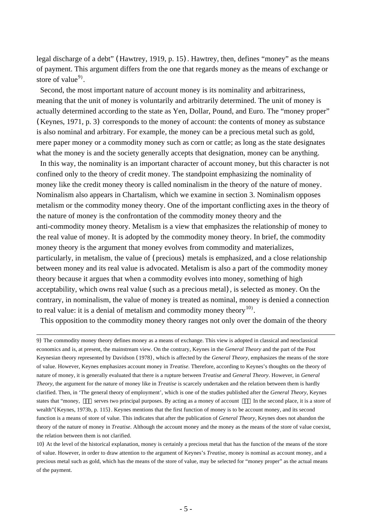legal discharge of a debt" (Hawtrey, 1919, p. 15). Hawtrey, then, defines "money" as the means of payment. This argument differs from the one that regards money as the means of exchange or store of value<sup>[9](#page-4-0))</sup>.

 Second, the most important nature of account money is its nominality and arbitrariness, meaning that the unit of money is voluntarily and arbitrarily determined. The unit of money is actually determined according to the state as Yen, Dollar, Pound, and Euro. The "money proper" (Keynes, 1971, p. 3) corresponds to the money of account: the contents of money as substance is also nominal and arbitrary. For example, the money can be a precious metal such as gold, mere paper money or a commodity money such as corn or cattle; as long as the state designates what the money is and the society generally accepts that designation, money can be anything.

 In this way, the nominality is an important character of account money, but this character is not confined only to the theory of credit money. The standpoint emphasizing the nominality of money like the credit money theory is called nominalism in the theory of the nature of money. Nominalism also appears in Chartalism, which we examine in section 3. Nominalism opposes metalism or the commodity money theory. One of the important conflicting axes in the theory of the nature of money is the confrontation of the commodity money theory and the anti-commodity money theory. Metalism is a view that emphasizes the relationship of money to the real value of money. It is adopted by the commodity money theory. In brief, the commodity money theory is the argument that money evolves from commodity and materializes, particularly, in metalism, the value of (precious) metals is emphasized, and a close relationship between money and its real value is advocated. Metalism is also a part of the commodity money theory because it argues that when a commodity evolves into money, something of high acceptability, which owns real value (such as a precious metal), is selected as money. On the contrary, in nominalism, the value of money is treated as nominal, money is denied a connection to real value: it is a denial of metalism and commodity money theory  $^{10}$  $^{10}$  $^{10}$ .

This opposition to the commodity money theory ranges not only over the domain of the theory

<span id="page-4-0"></span><sup>9</sup>) The commodity money theory defines money as a means of exchange. This view is adopted in classical and neoclassical economics and is, at present, the mainstream view. On the contrary, Keynes in the *General Theory* and the part of the Post Keynesian theory represented by Davidson (1978), which is affected by the *General Theory,* emphasizes the means of the store of value. However, Keynes emphasizes account money in *Treatise*. Therefore, according to Keynes's thoughts on the theory of nature of money, it is generally evaluated that there is a rupture between *Treatise* and *General Theory*. However, in *General Theory*, the argument for the nature of money like in *Treatise* is scarcely undertaken and the relation between them is hardly clarified. Then, in 'The general theory of employment', which is one of the studies published after the *General Theory*, Keynes states that "money, serves two principal purposes. By acting as a money of account In the second place, it is a store of wealth"(Keynes, 1973b, p. 115). Keynes mentions that the first function of money is to be account money, and its second function is a means of store of value. This indicates that after the publication of *General Theory,* Keynes does not abandon the theory of the nature of money in *Treatise*. Although the account money and the money as the means of the store of value coexist, the relation between them is not clarified.

<span id="page-4-1"></span><sup>10</sup>) At the level of the historical explanation, money is certainly a precious metal that has the function of the means of the store of value. However, in order to draw attention to the argument of Keynes's *Treatise*, money is nominal as account money, and a precious metal such as gold, which has the means of the store of value, may be selected for "money proper" as the actual means of the payment.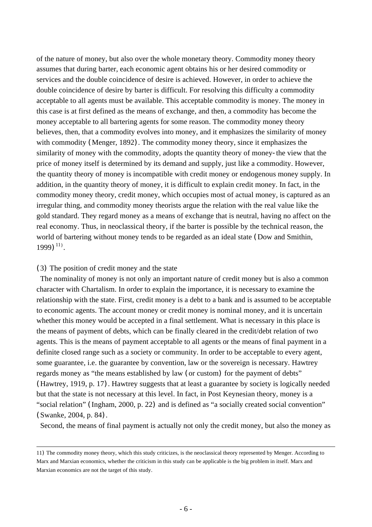of the nature of money, but also over the whole monetary theory. Commodity money theory assumes that during barter, each economic agent obtains his or her desired commodity or services and the double coincidence of desire is achieved. However, in order to achieve the double coincidence of desire by barter is difficult. For resolving this difficulty a commodity acceptable to all agents must be available. This acceptable commodity is money. The money in this case is at first defined as the means of exchange, and then, a commodity has become the money acceptable to all bartering agents for some reason. The commodity money theory believes, then, that a commodity evolves into money, and it emphasizes the similarity of money with commodity (Menger, 1892). The commodity money theory, since it emphasizes the similarity of money with the commodity, adopts the quantity theory of money-the view that the price of money itself is determined by its demand and supply, just like a commodity. However, the quantity theory of money is incompatible with credit money or endogenous money supply. In addition, in the quantity theory of money, it is difficult to explain credit money. In fact, in the commodity money theory, credit money, which occupies most of actual money, is captured as an irregular thing, and commodity money theorists argue the relation with the real value like the gold standard. They regard money as a means of exchange that is neutral, having no affect on the real economy. Thus, in neoclassical theory, if the barter is possible by the technical reason, the world of bartering without money tends to be regarded as an ideal state (Dow and Smithin, 1999)<sup>[11](#page-5-0)</sup>).

# (3) The position of credit money and the state

 The nominality of money is not only an important nature of credit money but is also a common character with Chartalism. In order to explain the importance, it is necessary to examine the relationship with the state. First, credit money is a debt to a bank and is assumed to be acceptable to economic agents. The account money or credit money is nominal money, and it is uncertain whether this money would be accepted in a final settlement. What is necessary in this place is the means of payment of debts, which can be finally cleared in the credit/debt relation of two agents. This is the means of payment acceptable to all agents or the means of final payment in a definite closed range such as a society or community. In order to be acceptable to every agent, some guarantee, i.e. the guarantee by convention, law or the sovereign is necessary. Hawtrey regards money as "the means established by law (or custom) for the payment of debts" (Hawtrey, 1919, p. 17). Hawtrey suggests that at least a guarantee by society is logically needed but that the state is not necessary at this level. In fact, in Post Keynesian theory, money is a "social relation" (Ingham, 2000, p. 22) and is defined as "a socially created social convention" (Swanke, 2004, p. 84).

Second, the means of final payment is actually not only the credit money, but also the money as

<span id="page-5-0"></span><sup>11</sup>) The commodity money theory, which this study criticizes, is the neoclassical theory represented by Menger. According to Marx and Marxian economics, whether the criticism in this study can be applicable is the big problem in itself. Marx and Marxian economics are not the target of this study.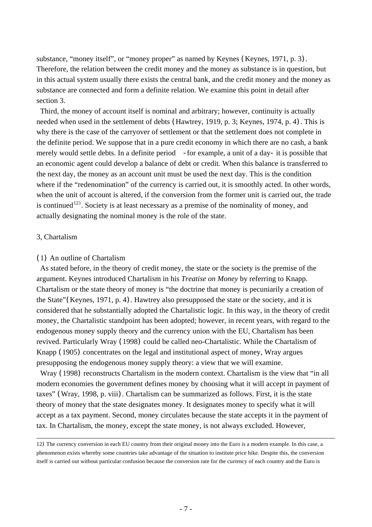substance, "money itself", or "money proper" as named by Keynes (Keynes, 1971, p. 3). Therefore, the relation between the credit money and the money as substance is in question, but in this actual system usually there exists the central bank, and the credit money and the money as substance are connected and form a definite relation. We examine this point in detail after section 3.

 Third, the money of account itself is nominal and arbitrary; however, continuity is actually needed when used in the settlement of debts (Hawtrey, 1919, p. 3; Keynes, 1974, p. 4). This is why there is the case of the carryover of settlement or that the settlement does not complete in the definite period. We suppose that in a pure credit economy in which there are no cash, a bank merely would settle debts. In a definite period - for example, a unit of a day- it is possible that an economic agent could develop a balance of debt or credit. When this balance is transferred to the next day, the money as an account unit must be used the next day. This is the condition where if the "redenomination" of the currency is carried out, it is smoothly acted. In other words, when the unit of account is altered, if the conversion from the former unit is carried out, the trade is continued<sup>[12](#page-6-0))</sup>. Society is at least necessary as a premise of the nominality of money, and actually designating the nominal money is the role of the state.

### 3, Chartalism

#### (1) An outline of Chartalism

 As stated before, in the theory of credit money, the state or the society is the premise of the argument. Keynes introduced Chartalism in his *Treatise on Money* by referring to Knapp. Chartalism or the state theory of money is "the doctrine that money is pecuniarily a creation of the State"(Keynes, 1971, p. 4). Hawtrey also presupposed the state or the society, and it is considered that he substantially adopted the Chartalistic logic. In this way, in the theory of credit money, the Chartalistic standpoint has been adopted; however, in recent years, with regard to the endogenous money supply theory and the currency union with the EU, Chartalism has been revived. Particularly Wray (1998) could be called neo-Chartalistic. While the Chartalism of Knapp (1905) concentrates on the legal and institutional aspect of money, Wray argues presupposing the endogenous money supply theory: a view that we will examine.

 Wray (1998) reconstructs Chartalism in the modern context. Chartalism is the view that "in all modern economies the government defines money by choosing what it will accept in payment of taxes" (Wray, 1998, p. viii). Chartalism can be summarized as follows. First, it is the state theory of money that the state designates money. It designates money to specify what it will accept as a tax payment. Second, money circulates because the state accepts it in the payment of tax. In Chartalism, the money, except the state money, is not always excluded. However,

<span id="page-6-0"></span><sup>12</sup>) The currency conversion in each EU country from their original money into the Euro is a modern example. In this case, a phenomenon exists whereby some countries take advantage of the situation to institute price hike. Despite this, the conversion itself is carried out without particular confusion because the conversion rate for the currency of each country and the Euro is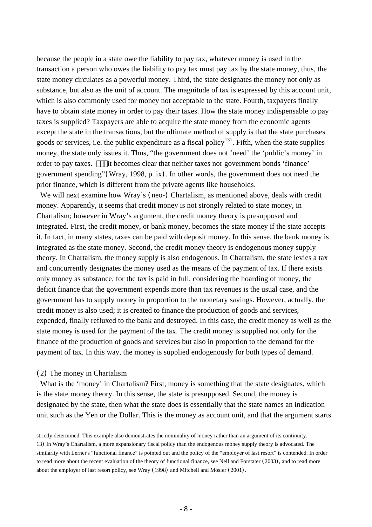because the people in a state owe the liability to pay tax, whatever money is used in the transaction a person who owes the liability to pay tax must pay tax by the state money, thus, the state money circulates as a powerful money. Third, the state designates the money not only as substance, but also as the unit of account. The magnitude of tax is expressed by this account unit, which is also commonly used for money not acceptable to the state. Fourth, taxpayers finally have to obtain state money in order to pay their taxes. How the state money indispensable to pay taxes is supplied? Taxpayers are able to acquire the state money from the economic agents except the state in the transactions, but the ultimate method of supply is that the state purchases goods or services, i.e. the public expenditure as a fiscal policy<sup>[13](#page-7-0)</sup>. Fifth, when the state supplies money, the state only issues it. Thus, "the government does not 'need' the 'public's money' in order to pay taxes. it becomes clear that neither taxes nor government bonds 'finance' government spending"(Wray, 1998, p. ix). In other words, the government does not need the prior finance, which is different from the private agents like households.

We will next examine how Wray's (neo-) Chartalism, as mentioned above, deals with credit money. Apparently, it seems that credit money is not strongly related to state money, in Chartalism; however in Wray's argument, the credit money theory is presupposed and integrated. First, the credit money, or bank money, becomes the state money if the state accepts it. In fact, in many states, taxes can be paid with deposit money. In this sense, the bank money is integrated as the state money. Second, the credit money theory is endogenous money supply theory. In Chartalism, the money supply is also endogenous. In Chartalism, the state levies a tax and concurrently designates the money used as the means of the payment of tax. If there exists only money as substance, for the tax is paid in full, considering the hoarding of money, the deficit finance that the government expends more than tax revenues is the usual case, and the government has to supply money in proportion to the monetary savings. However, actually, the credit money is also used; it is created to finance the production of goods and services, expended, finally refluxed to the bank and destroyed. In this case, the credit money as well as the state money is used for the payment of the tax. The credit money is supplied not only for the finance of the production of goods and services but also in proportion to the demand for the payment of tax. In this way, the money is supplied endogenously for both types of demand.

# (2) The money in Chartalism

1

What is the 'money' in Chartalism? First, money is something that the state designates, which is the state money theory. In this sense, the state is presupposed. Second, the money is designated by the state, then what the state does is essentially that the state names an indication unit such as the Yen or the Dollar. This is the money as account unit, and that the argument starts

strictly determined. This example also demonstrates the nominality of money rather than an argument of its continuity.

<span id="page-7-0"></span><sup>13</sup>) In Wray's Chartalism, a more expansionary fiscal policy than the endogenous money supply theory is advocated. The similarity with Lerner's "functional finance" is pointed out and the policy of the "employer of last resort" is contended. In order to read more about the recent evaluation of the theory of functional finance, see Nell and Forstater (2003), and to read more about the employer of last resort policy, see Wray (1998) and Mitchell and Mosler (2001).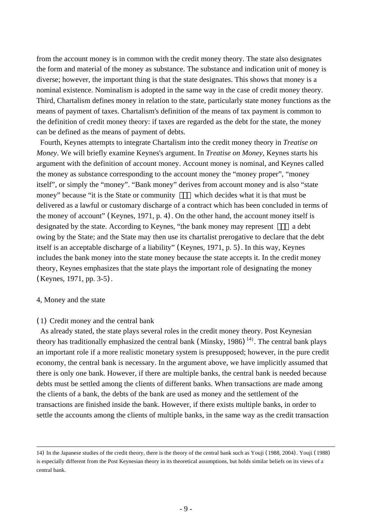from the account money is in common with the credit money theory. The state also designates the form and material of the money as substance. The substance and indication unit of money is diverse; however, the important thing is that the state designates. This shows that money is a nominal existence. Nominalism is adopted in the same way in the case of credit money theory. Third, Chartalism defines money in relation to the state, particularly state money functions as the means of payment of taxes. Chartalism's definition of the means of tax payment is common to the definition of credit money theory: if taxes are regarded as the debt for the state, the money can be defined as the means of payment of debts.

 Fourth, Keynes attempts to integrate Chartalism into the credit money theory in *Treatise on Money*. We will briefly examine Keynes's argument. In *Treatise on Money,* Keynes starts his argument with the definition of account money. Account money is nominal, and Keynes called the money as substance corresponding to the account money the "money proper", "money itself", or simply the "money". "Bank money" derives from account money and is also "state money" because "it is the State or community which decides what it is that must be delivered as a lawful or customary discharge of a contract which has been concluded in terms of the money of account" (Keynes, 1971, p. 4). On the other hand, the account money itself is designated by the state. According to Keynes, "the bank money may represent a debt owing by the State; and the State may then use its chartalist prerogative to declare that the debt itself is an acceptable discharge of a liability" (Keynes, 1971, p. 5). In this way, Keynes includes the bank money into the state money because the state accepts it. In the credit money theory, Keynes emphasizes that the state plays the important role of designating the money (Keynes, 1971, pp. 3-5).

### 4, Money and the state

# (1) Credit money and the central bank

 As already stated, the state plays several roles in the credit money theory. Post Keynesian theory has traditionally emphasized the central bank (Minsky, 1986)<sup>[14](#page-8-0)</sup>). The central bank plays an important role if a more realistic monetary system is presupposed; however, in the pure credit economy, the central bank is necessary. In the argument above, we have implicitly assumed that there is only one bank. However, if there are multiple banks, the central bank is needed because debts must be settled among the clients of different banks. When transactions are made among the clients of a bank, the debts of the bank are used as money and the settlement of the transactions are finished inside the bank. However, if there exists multiple banks, in order to settle the accounts among the clients of multiple banks, in the same way as the credit transaction

<span id="page-8-0"></span><sup>14</sup>) In the Japanese studies of the credit theory, there is the theory of the central bank such as Youji (1988, 2004). Youji (1988) is especially different from the Post Keynesian theory in its theoretical assumptions, but holds similar beliefs on its views of a central bank.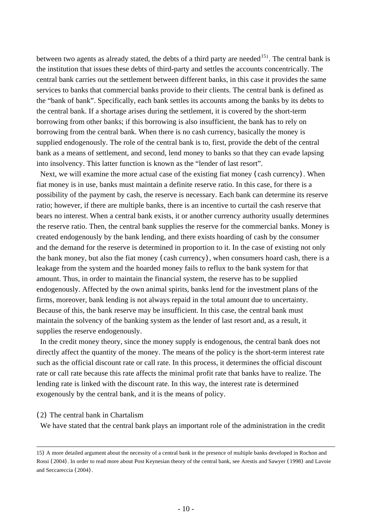between two agents as already stated, the debts of a third party are needed  $15$ . The central bank is the institution that issues these debts of third-party and settles the accounts concentrically. The central bank carries out the settlement between different banks, in this case it provides the same services to banks that commercial banks provide to their clients. The central bank is defined as the "bank of bank". Specifically, each bank settles its accounts among the banks by its debts to the central bank. If a shortage arises during the settlement, it is covered by the short-term borrowing from other banks; if this borrowing is also insufficient, the bank has to rely on borrowing from the central bank. When there is no cash currency, basically the money is supplied endogenously. The role of the central bank is to, first, provide the debt of the central bank as a means of settlement, and second, lend money to banks so that they can evade lapsing into insolvency. This latter function is known as the "lender of last resort".

 Next, we will examine the more actual case of the existing fiat money (cash currency). When fiat money is in use, banks must maintain a definite reserve ratio. In this case, for there is a possibility of the payment by cash, the reserve is necessary. Each bank can determine its reserve ratio; however, if there are multiple banks, there is an incentive to curtail the cash reserve that bears no interest. When a central bank exists, it or another currency authority usually determines the reserve ratio. Then, the central bank supplies the reserve for the commercial banks. Money is created endogenously by the bank lending, and there exists hoarding of cash by the consumer and the demand for the reserve is determined in proportion to it. In the case of existing not only the bank money, but also the fiat money (cash currency), when consumers hoard cash, there is a leakage from the system and the hoarded money fails to reflux to the bank system for that amount. Thus, in order to maintain the financial system, the reserve has to be supplied endogenously. Affected by the own animal spirits, banks lend for the investment plans of the firms, moreover, bank lending is not always repaid in the total amount due to uncertainty. Because of this, the bank reserve may be insufficient. In this case, the central bank must maintain the solvency of the banking system as the lender of last resort and, as a result, it supplies the reserve endogenously.

 In the credit money theory, since the money supply is endogenous, the central bank does not directly affect the quantity of the money. The means of the policy is the short-term interest rate such as the official discount rate or call rate. In this process, it determines the official discount rate or call rate because this rate affects the minimal profit rate that banks have to realize. The lending rate is linked with the discount rate. In this way, the interest rate is determined exogenously by the central bank, and it is the means of policy.

(2) The central bank in Chartalism

We have stated that the central bank plays an important role of the administration in the credit

<span id="page-9-0"></span><sup>15</sup>) A more detailed argument about the necessity of a central bank in the presence of multiple banks developed in Rochon and Rossi (2004). In order to read more about Post Keynesian theory of the central bank, see Arestis and Sawyer (1998) and Lavoie and Seccareccia (2004).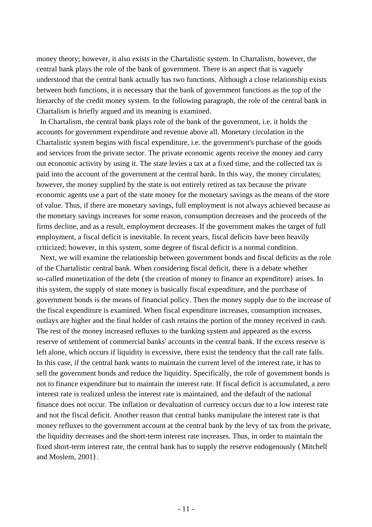money theory; however, it also exists in the Chartalistic system. In Chartalism, however, the central bank plays the role of the bank of government. There is an aspect that is vaguely understood that the central bank actually has two functions. Although a close relationship exists between both functions, it is necessary that the bank of government functions as the top of the hierarchy of the credit money system. In the following paragraph, the role of the central bank in Chartalism is briefly argued and its meaning is examined.

 In Chartalism, the central bank plays role of the bank of the government, i.e. it holds the accounts for government expenditure and revenue above all. Monetary circulation in the Chartalistic system begins with fiscal expenditure, i.e. the government's purchase of the goods and services from the private sector. The private economic agents receive the money and carry out economic activity by using it. The state levies a tax at a fixed time, and the collected tax is paid into the account of the government at the central bank. In this way, the money circulates; however, the money supplied by the state is not entirely retired as tax because the private economic agents use a part of the state money for the monetary savings as the means of the store of value. Thus, if there are monetary savings, full employment is not always achieved because as the monetary savings increases for some reason, consumption decreases and the proceeds of the firms decline, and as a result, employment decreases. If the government makes the target of full employment, a fiscal deficit is inevitable. In recent years, fiscal deficits have been heavily criticized; however, in this system, some degree of fiscal deficit is a normal condition.

 Next, we will examine the relationship between government bonds and fiscal deficits as the role of the Chartalistic central bank. When considering fiscal deficit, there is a debate whether so-called monetization of the debt (the creation of money to finance an expenditure) arises. In this system, the supply of state money is basically fiscal expenditure, and the purchase of government bonds is the means of financial policy. Then the money supply due to the increase of the fiscal expenditure is examined. When fiscal expenditure increases, consumption increases, outlays are higher and the final holder of cash retains the portion of the money received in cash. The rest of the money increased refluxes to the banking system and appeared as the excess reserve of settlement of commercial banks' accounts in the central bank. If the excess reserve is left alone, which occurs if liquidity is excessive, there exist the tendency that the call rate falls. In this case, if the central bank wants to maintain the current level of the interest rate, it has to sell the government bonds and reduce the liquidity. Specifically, the role of government bonds is not to finance expenditure but to maintain the interest rate. If fiscal deficit is accumulated, a zero interest rate is realized unless the interest rate is maintained, and the default of the national finance does not occur. The inflation or devaluation of currency occurs due to a low interest rate and not the fiscal deficit. Another reason that central banks manipulate the interest rate is that money refluxes to the government account at the central bank by the levy of tax from the private, the liquidity decreases and the short-term interest rate increases. Thus, in order to maintain the fixed short-term interest rate, the central bank has to supply the reserve endogenously (Mitchell and Moslem, 2001).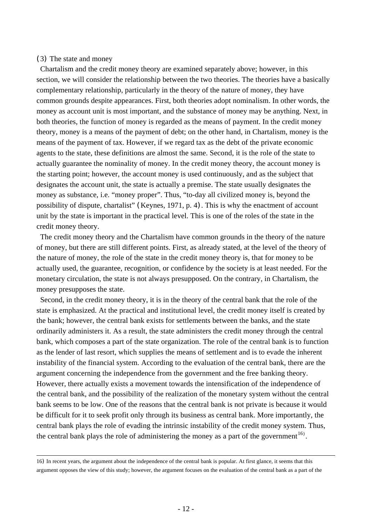# (3) The state and money

 Chartalism and the credit money theory are examined separately above; however, in this section, we will consider the relationship between the two theories. The theories have a basically complementary relationship, particularly in the theory of the nature of money, they have common grounds despite appearances. First, both theories adopt nominalism. In other words, the money as account unit is most important, and the substance of money may be anything. Next, in both theories, the function of money is regarded as the means of payment. In the credit money theory, money is a means of the payment of debt; on the other hand, in Chartalism, money is the means of the payment of tax. However, if we regard tax as the debt of the private economic agents to the state, these definitions are almost the same. Second, it is the role of the state to actually guarantee the nominality of money. In the credit money theory, the account money is the starting point; however, the account money is used continuously, and as the subject that designates the account unit, the state is actually a premise. The state usually designates the money as substance, i.e. "money proper". Thus, "to-day all civilized money is, beyond the possibility of dispute, chartalist" (Keynes, 1971, p. 4). This is why the enactment of account unit by the state is important in the practical level. This is one of the roles of the state in the credit money theory.

 The credit money theory and the Chartalism have common grounds in the theory of the nature of money, but there are still different points. First, as already stated, at the level of the theory of the nature of money, the role of the state in the credit money theory is, that for money to be actually used, the guarantee, recognition, or confidence by the society is at least needed. For the monetary circulation, the state is not always presupposed. On the contrary, in Chartalism, the money presupposes the state.

 Second, in the credit money theory, it is in the theory of the central bank that the role of the state is emphasized. At the practical and institutional level, the credit money itself is created by the bank; however, the central bank exists for settlements between the banks, and the state ordinarily administers it. As a result, the state administers the credit money through the central bank, which composes a part of the state organization. The role of the central bank is to function as the lender of last resort, which supplies the means of settlement and is to evade the inherent instability of the financial system. According to the evaluation of the central bank, there are the argument concerning the independence from the government and the free banking theory. However, there actually exists a movement towards the intensification of the independence of the central bank, and the possibility of the realization of the monetary system without the central bank seems to be low. One of the reasons that the central bank is not private is because it would be difficult for it to seek profit only through its business as central bank. More importantly, the central bank plays the role of evading the intrinsic instability of the credit money system. Thus, the central bank plays the role of administering the money as a part of the government<sup>[16](#page-11-0)</sup>.

<span id="page-11-0"></span><sup>16</sup>) In recent years, the argument about the independence of the central bank is popular. At first glance, it seems that this argument opposes the view of this study; however, the argument focuses on the evaluation of the central bank as a part of the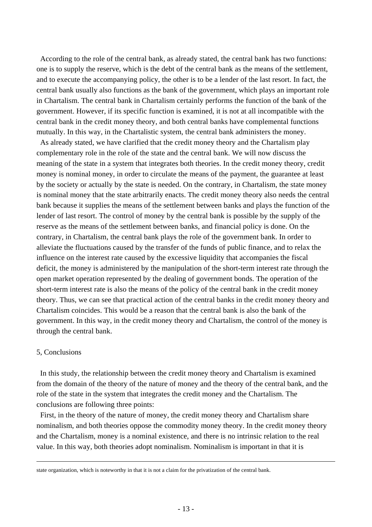According to the role of the central bank, as already stated, the central bank has two functions: one is to supply the reserve, which is the debt of the central bank as the means of the settlement, and to execute the accompanying policy, the other is to be a lender of the last resort. In fact, the central bank usually also functions as the bank of the government, which plays an important role in Chartalism. The central bank in Chartalism certainly performs the function of the bank of the government. However, if its specific function is examined, it is not at all incompatible with the central bank in the credit money theory, and both central banks have complemental functions mutually. In this way, in the Chartalistic system, the central bank administers the money.

 As already stated, we have clarified that the credit money theory and the Chartalism play complementary role in the role of the state and the central bank. We will now discuss the meaning of the state in a system that integrates both theories. In the credit money theory, credit money is nominal money, in order to circulate the means of the payment, the guarantee at least by the society or actually by the state is needed. On the contrary, in Chartalism, the state money is nominal money that the state arbitrarily enacts. The credit money theory also needs the central bank because it supplies the means of the settlement between banks and plays the function of the lender of last resort. The control of money by the central bank is possible by the supply of the reserve as the means of the settlement between banks, and financial policy is done. On the contrary, in Chartalism, the central bank plays the role of the government bank. In order to alleviate the fluctuations caused by the transfer of the funds of public finance, and to relax the influence on the interest rate caused by the excessive liquidity that accompanies the fiscal deficit, the money is administered by the manipulation of the short-term interest rate through the open market operation represented by the dealing of government bonds. The operation of the short-term interest rate is also the means of the policy of the central bank in the credit money theory. Thus, we can see that practical action of the central banks in the credit money theory and Chartalism coincides. This would be a reason that the central bank is also the bank of the government. In this way, in the credit money theory and Chartalism, the control of the money is through the central bank.

# 5, Conclusions

<u>.</u>

 In this study, the relationship between the credit money theory and Chartalism is examined from the domain of the theory of the nature of money and the theory of the central bank, and the role of the state in the system that integrates the credit money and the Chartalism. The conclusions are following three points:

 First, in the theory of the nature of money, the credit money theory and Chartalism share nominalism, and both theories oppose the commodity money theory. In the credit money theory and the Chartalism, money is a nominal existence, and there is no intrinsic relation to the real value. In this way, both theories adopt nominalism. Nominalism is important in that it is

state organization, which is noteworthy in that it is not a claim for the privatization of the central bank.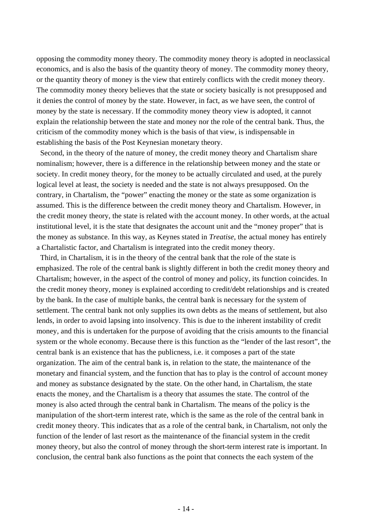opposing the commodity money theory. The commodity money theory is adopted in neoclassical economics, and is also the basis of the quantity theory of money. The commodity money theory, or the quantity theory of money is the view that entirely conflicts with the credit money theory. The commodity money theory believes that the state or society basically is not presupposed and it denies the control of money by the state. However, in fact, as we have seen, the control of money by the state is necessary. If the commodity money theory view is adopted, it cannot explain the relationship between the state and money nor the role of the central bank. Thus, the criticism of the commodity money which is the basis of that view, is indispensable in establishing the basis of the Post Keynesian monetary theory.

 Second, in the theory of the nature of money, the credit money theory and Chartalism share nominalism; however, there is a difference in the relationship between money and the state or society. In credit money theory, for the money to be actually circulated and used, at the purely logical level at least, the society is needed and the state is not always presupposed. On the contrary, in Chartalism, the "power" enacting the money or the state as some organization is assumed. This is the difference between the credit money theory and Chartalism. However, in the credit money theory, the state is related with the account money. In other words, at the actual institutional level, it is the state that designates the account unit and the "money proper" that is the money as substance. In this way, as Keynes stated in *Treatise*, the actual money has entirely a Chartalistic factor, and Chartalism is integrated into the credit money theory.

 Third, in Chartalism, it is in the theory of the central bank that the role of the state is emphasized. The role of the central bank is slightly different in both the credit money theory and Chartalism; however, in the aspect of the control of money and policy, its function coincides. In the credit money theory, money is explained according to credit/debt relationships and is created by the bank. In the case of multiple banks, the central bank is necessary for the system of settlement. The central bank not only supplies its own debts as the means of settlement, but also lends, in order to avoid lapsing into insolvency. This is due to the inherent instability of credit money, and this is undertaken for the purpose of avoiding that the crisis amounts to the financial system or the whole economy. Because there is this function as the "lender of the last resort", the central bank is an existence that has the publicness, i.e. it composes a part of the state organization. The aim of the central bank is, in relation to the state, the maintenance of the monetary and financial system, and the function that has to play is the control of account money and money as substance designated by the state. On the other hand, in Chartalism, the state enacts the money, and the Chartalism is a theory that assumes the state. The control of the money is also acted through the central bank in Chartalism. The means of the policy is the manipulation of the short-term interest rate, which is the same as the role of the central bank in credit money theory. This indicates that as a role of the central bank, in Chartalism, not only the function of the lender of last resort as the maintenance of the financial system in the credit money theory, but also the control of money through the short-term interest rate is important. In conclusion, the central bank also functions as the point that connects the each system of the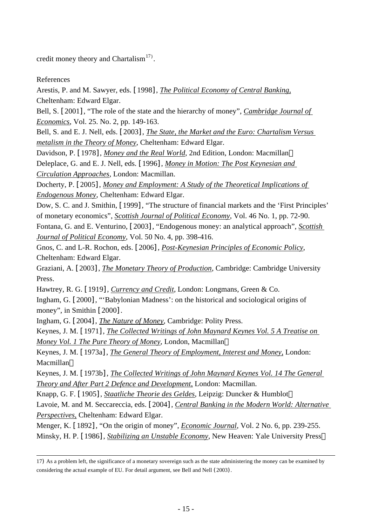credit money theory and Chartalism<sup>[17](#page-14-0))</sup>.

References

Arestis, P. and M. Sawyer, eds. [1998], *The Political Economy of Central Banking,* Cheltenham: Edward Elgar.

Bell, S. [2001], "The role of the state and the hierarchy of money", *Cambridge Journal of Economics*, Vol. 25. No. 2, pp. 149-163.

Bell, S. and E. J. Nell, eds. [2003], *The State, the Market and the Euro: Chartalism Versus metalism in the Theory of Money*, Cheltenham: Edward Elgar.

Davidson, P. [1978], *Money and the Real World*, 2nd Edition, London: Macmillan.

Deleplace, G. and E. J. Nell, eds. [1996], *Money in Motion: The Post Keynesian and Circulation Approaches,* London: Macmillan.

Docherty, P. [2005], *Money and Employment: A Study of the Theoretical Implications of Endogenous Money*, Cheltenham: Edward Elgar.

Dow, S. C. and J. Smithin, [1999], "The structure of financial markets and the 'First Principles' of monetary economics", *Scottish Journal of Political Economy*, Vol. 46 No. 1, pp. 72-90.

Fontana, G. and E. Venturino, [2003], "Endogenous money: an analytical approach", *Scottish Journal of Political Economy*, Vol. 50 No. 4, pp. 398-416.

Gnos, C. and L-R. Rochon, eds. [2006], *Post-Keynesian Principles of Economic Policy*, Cheltenham: Edward Elgar.

Graziani, A. [2003], *The Monetary Theory of Production*, Cambridge: Cambridge University Press.

Hawtrey, R. G. [1919], *Currency and Credit*, London: Longmans, Green & Co.

Ingham, G. [2000], "'Babylonian Madness': on the historical and sociological origins of money", in Smithin [2000].

Ingham, G. [2004], *The Nature of Money*, Cambridge: Polity Press.

Keynes, J. M. [1971], *The Collected Writings of John Maynard Keynes Vol. 5 A Treatise on Money Vol. 1 The Pure Theory of Money*, London, Macmillan.

Keynes, J. M. [1973a], *The General Theory of Employment, Interest and Money,* London: Macmillan.

Keynes, J. M. [1973b], *The Collected Writings of John Maynard Keynes Vol. 14 The General Theory and After Part 2 Defence and Development,* London: Macmillan.

Knapp, G. F. [1905], *Staatliche Theorie des Geldes*, Leipzig: Duncker & Humblot.

Lavoie, M. and M. Seccareccia, eds. [2004], *Central Banking in the Modern World: Alternative Perspectives,* Cheltenham: Edward Elgar.

Menger, K. [1892], "On the origin of money", *Economic Journal*, Vol. 2 No. 6, pp. 239-255. Minsky, H. P. [1986], *Stabilizing an Unstable Economy*, New Heaven: Yale University Press.

<span id="page-14-0"></span><sup>17</sup>) As a problem left, the significance of a monetary sovereign such as the state administering the money can be examined by considering the actual example of EU. For detail argument, see Bell and Nell (2003).